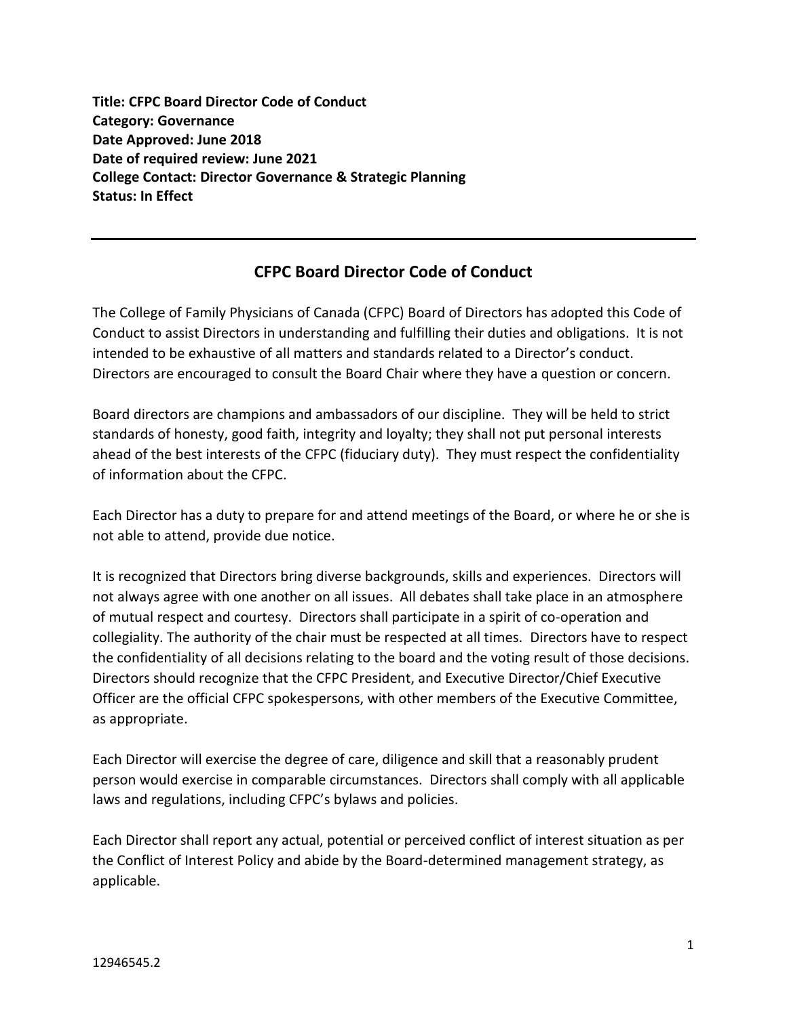**Title: CFPC Board Director Code of Conduct Category: Governance Date Approved: June 2018 Date of required review: June 2021 College Contact: Director Governance & Strategic Planning Status: In Effect**

## **CFPC Board Director Code of Conduct**

The College of Family Physicians of Canada (CFPC) Board of Directors has adopted this Code of Conduct to assist Directors in understanding and fulfilling their duties and obligations. It is not intended to be exhaustive of all matters and standards related to a Director's conduct. Directors are encouraged to consult the Board Chair where they have a question or concern.

Board directors are champions and ambassadors of our discipline. They will be held to strict standards of honesty, good faith, integrity and loyalty; they shall not put personal interests ahead of the best interests of the CFPC (fiduciary duty). They must respect the confidentiality of information about the CFPC.

Each Director has a duty to prepare for and attend meetings of the Board, or where he or she is not able to attend, provide due notice.

It is recognized that Directors bring diverse backgrounds, skills and experiences. Directors will not always agree with one another on all issues. All debates shall take place in an atmosphere of mutual respect and courtesy. Directors shall participate in a spirit of co-operation and collegiality. The authority of the chair must be respected at all times. Directors have to respect the confidentiality of all decisions relating to the board and the voting result of those decisions. Directors should recognize that the CFPC President, and Executive Director/Chief Executive Officer are the official CFPC spokespersons, with other members of the Executive Committee, as appropriate.

Each Director will exercise the degree of care, diligence and skill that a reasonably prudent person would exercise in comparable circumstances. Directors shall comply with all applicable laws and regulations, including CFPC's bylaws and policies.

Each Director shall report any actual, potential or perceived conflict of interest situation as per the Conflict of Interest Policy and abide by the Board-determined management strategy, as applicable.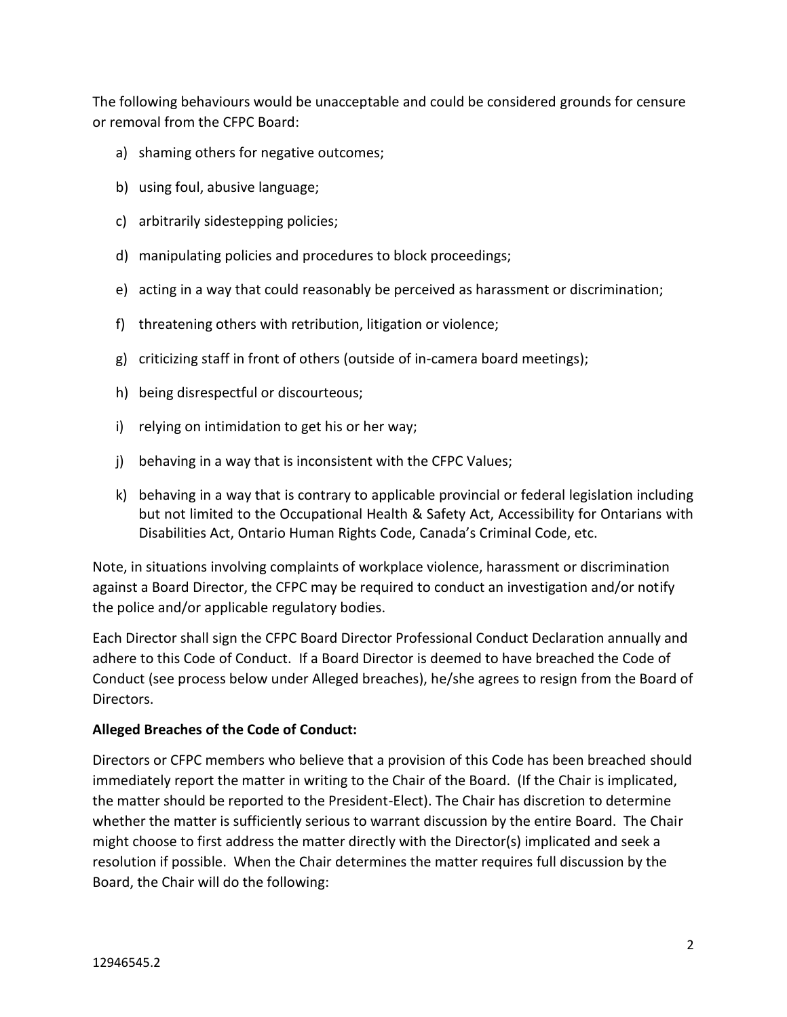The following behaviours would be unacceptable and could be considered grounds for censure or removal from the CFPC Board:

- a) shaming others for negative outcomes;
- b) using foul, abusive language;
- c) arbitrarily sidestepping policies;
- d) manipulating policies and procedures to block proceedings;
- e) acting in a way that could reasonably be perceived as harassment or discrimination;
- f) threatening others with retribution, litigation or violence;
- g) criticizing staff in front of others (outside of in-camera board meetings);
- h) being disrespectful or discourteous;
- i) relying on intimidation to get his or her way;
- j) behaving in a way that is inconsistent with the CFPC Values;
- k) behaving in a way that is contrary to applicable provincial or federal legislation including but not limited to the Occupational Health & Safety Act, Accessibility for Ontarians with Disabilities Act, Ontario Human Rights Code, Canada's Criminal Code, etc.

Note, in situations involving complaints of workplace violence, harassment or discrimination against a Board Director, the CFPC may be required to conduct an investigation and/or notify the police and/or applicable regulatory bodies.

Each Director shall sign the CFPC Board Director Professional Conduct Declaration annually and adhere to this Code of Conduct. If a Board Director is deemed to have breached the Code of Conduct (see process below under Alleged breaches), he/she agrees to resign from the Board of Directors.

## **Alleged Breaches of the Code of Conduct:**

Directors or CFPC members who believe that a provision of this Code has been breached should immediately report the matter in writing to the Chair of the Board. (If the Chair is implicated, the matter should be reported to the President-Elect). The Chair has discretion to determine whether the matter is sufficiently serious to warrant discussion by the entire Board. The Chair might choose to first address the matter directly with the Director(s) implicated and seek a resolution if possible. When the Chair determines the matter requires full discussion by the Board, the Chair will do the following: